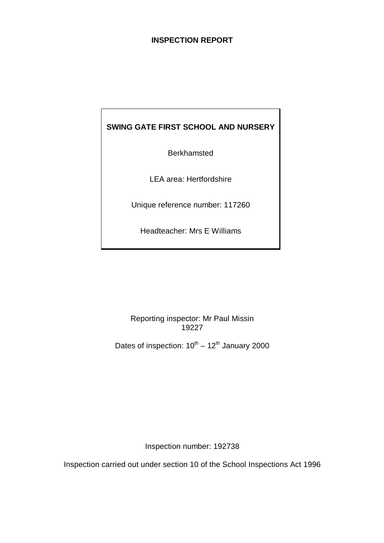# **INSPECTION REPORT**

# **SWING GATE FIRST SCHOOL AND NURSERY**

**Berkhamsted** 

LEA area: Hertfordshire

Unique reference number: 117260

Headteacher: Mrs E Williams

Reporting inspector: Mr Paul Missin 19227

Dates of inspection:  $10^{th} - 12^{th}$  January 2000

Inspection number: 192738

Inspection carried out under section 10 of the School Inspections Act 1996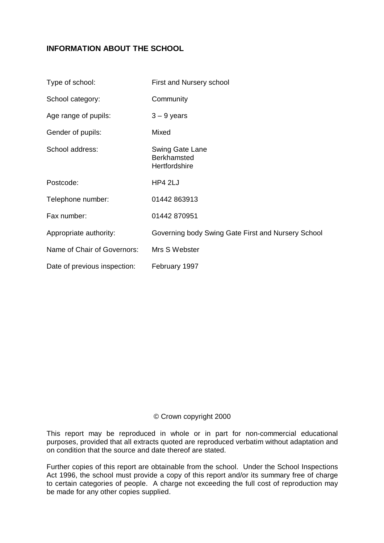# **INFORMATION ABOUT THE SCHOOL**

| Type of school:              | First and Nursery school                               |
|------------------------------|--------------------------------------------------------|
| School category:             | Community                                              |
| Age range of pupils:         | $3 - 9$ years                                          |
| Gender of pupils:            | Mixed                                                  |
| School address:              | Swing Gate Lane<br><b>Berkhamsted</b><br>Hertfordshire |
| Postcode:                    | HP4 2LJ                                                |
| Telephone number:            | 01442 863913                                           |
| Fax number:                  | 01442 870951                                           |
| Appropriate authority:       | Governing body Swing Gate First and Nursery School     |
| Name of Chair of Governors:  | Mrs S Webster                                          |
| Date of previous inspection: | February 1997                                          |

### © Crown copyright 2000

This report may be reproduced in whole or in part for non-commercial educational purposes, provided that all extracts quoted are reproduced verbatim without adaptation and on condition that the source and date thereof are stated.

Further copies of this report are obtainable from the school. Under the School Inspections Act 1996, the school must provide a copy of this report and/or its summary free of charge to certain categories of people. A charge not exceeding the full cost of reproduction may be made for any other copies supplied.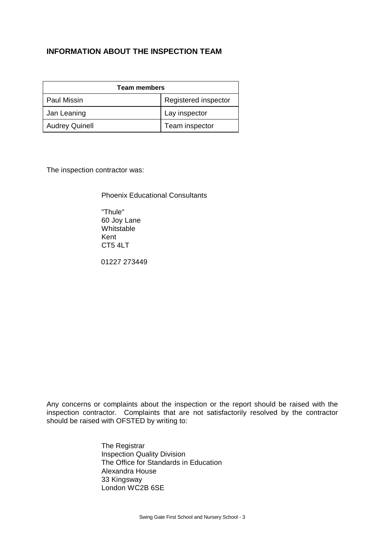# **INFORMATION ABOUT THE INSPECTION TEAM**

| <b>Team members</b>   |                      |  |
|-----------------------|----------------------|--|
| <b>Paul Missin</b>    | Registered inspector |  |
| Jan Leaning           | Lay inspector        |  |
| <b>Audrey Quinell</b> | Team inspector       |  |

The inspection contractor was:

Phoenix Educational Consultants

"Thule" 60 Joy Lane Whitstable Kent CT5 4LT

01227 273449

Any concerns or complaints about the inspection or the report should be raised with the inspection contractor. Complaints that are not satisfactorily resolved by the contractor should be raised with OFSTED by writing to:

> The Registrar Inspection Quality Division The Office for Standards in Education Alexandra House 33 Kingsway London WC2B 6SE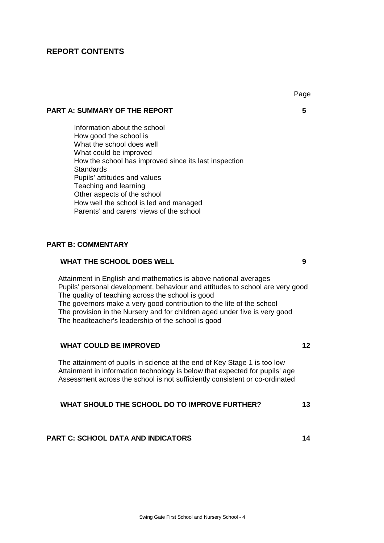# **REPORT CONTENTS**

# **PART A: SUMMARY OF THE REPORT 5**

Information about the school How good the school is What the school does well What could be improved How the school has improved since its last inspection **Standards** Pupils' attitudes and values Teaching and learning Other aspects of the school How well the school is led and managed Parents' and carers' views of the school

#### **PART B: COMMENTARY**

#### **WHAT THE SCHOOL DOES WELL 9**

Attainment in English and mathematics is above national averages Pupils' personal development, behaviour and attitudes to school are very good The quality of teaching across the school is good The governors make a very good contribution to the life of the school The provision in the Nursery and for children aged under five is very good The headteacher's leadership of the school is good

#### **WHAT COULD BE IMPROVED 12**

The attainment of pupils in science at the end of Key Stage 1 is too low Attainment in information technology is below that expected for pupils' age Assessment across the school is not sufficiently consistent or co-ordinated

#### **WHAT SHOULD THE SCHOOL DO TO IMPROVE FURTHER? 13**

#### **PART C: SCHOOL DATA AND INDICATORS 14**

Page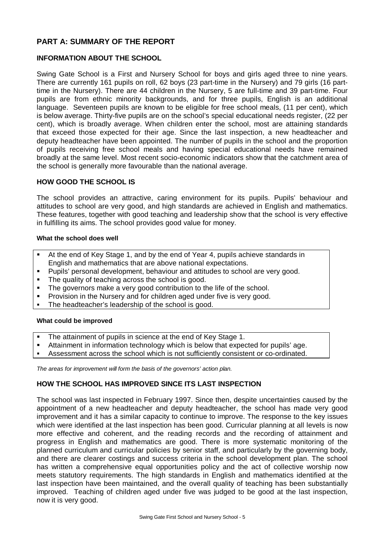# **PART A: SUMMARY OF THE REPORT**

### **INFORMATION ABOUT THE SCHOOL**

Swing Gate School is a First and Nursery School for boys and girls aged three to nine years. There are currently 161 pupils on roll, 62 boys (23 part-time in the Nursery) and 79 girls (16 parttime in the Nursery). There are 44 children in the Nursery, 5 are full-time and 39 part-time. Four pupils are from ethnic minority backgrounds, and for three pupils, English is an additional language. Seventeen pupils are known to be eligible for free school meals, (11 per cent), which is below average. Thirty-five pupils are on the school's special educational needs register, (22 per cent), which is broadly average. When children enter the school, most are attaining standards that exceed those expected for their age. Since the last inspection, a new headteacher and deputy headteacher have been appointed. The number of pupils in the school and the proportion of pupils receiving free school meals and having special educational needs have remained broadly at the same level. Most recent socio-economic indicators show that the catchment area of the school is generally more favourable than the national average.

#### **HOW GOOD THE SCHOOL IS**

The school provides an attractive, caring environment for its pupils. Pupils' behaviour and attitudes to school are very good, and high standards are achieved in English and mathematics. These features, together with good teaching and leadership show that the school is very effective in fulfilling its aims. The school provides good value for money.

#### **What the school does well**

- **K** At the end of Key Stage 1, and by the end of Year 4, pupils achieve standards in English and mathematics that are above national expectations.
- ß Pupils' personal development, behaviour and attitudes to school are very good.
- The quality of teaching across the school is good.
- The governors make a very good contribution to the life of the school.
- **•** Provision in the Nursery and for children aged under five is very good.
- The headteacher's leadership of the school is good.

#### **What could be improved**

- The attainment of pupils in science at the end of Key Stage 1.
- **K**ttainment in information technology which is below that expected for pupils' age.
- **Assessment across the school which is not sufficiently consistent or co-ordinated.**

*The areas for improvement will form the basis of the governors' action plan.*

#### **HOW THE SCHOOL HAS IMPROVED SINCE ITS LAST INSPECTION**

The school was last inspected in February 1997. Since then, despite uncertainties caused by the appointment of a new headteacher and deputy headteacher, the school has made very good improvement and it has a similar capacity to continue to improve. The response to the key issues which were identified at the last inspection has been good. Curricular planning at all levels is now more effective and coherent, and the reading records and the recording of attainment and progress in English and mathematics are good. There is more systematic monitoring of the planned curriculum and curricular policies by senior staff, and particularly by the governing body, and there are clearer costings and success criteria in the school development plan. The school has written a comprehensive equal opportunities policy and the act of collective worship now meets statutory requirements. The high standards in English and mathematics identified at the last inspection have been maintained, and the overall quality of teaching has been substantially improved. Teaching of children aged under five was judged to be good at the last inspection, now it is very good.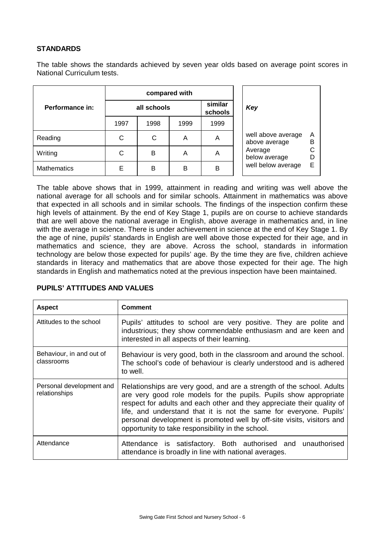# **STANDARDS**

The table shows the standards achieved by seven year olds based on average point scores in National Curriculum tests.

|                    |             | compared with |      |                    |                                     |             |
|--------------------|-------------|---------------|------|--------------------|-------------------------------------|-------------|
| Performance in:    | all schools |               |      | similar<br>schools | Key                                 |             |
|                    | 1997        | 1998          | 1999 | 1999               |                                     |             |
| Reading            | С           | С             | A    | A                  | well above average<br>above average | Α<br>В<br>С |
| Writing            | С           | B             | A    | A                  | Average<br>below average            |             |
| <b>Mathematics</b> | E           | в             | B    | B                  | well below average                  | E           |

The table above shows that in 1999, attainment in reading and writing was well above the national average for all schools and for similar schools. Attainment in mathematics was above that expected in all schools and in similar schools. The findings of the inspection confirm these high levels of attainment. By the end of Key Stage 1, pupils are on course to achieve standards that are well above the national average in English, above average in mathematics and, in line with the average in science. There is under achievement in science at the end of Key Stage 1. By the age of nine, pupils' standards in English are well above those expected for their age, and in mathematics and science, they are above. Across the school, standards in information technology are below those expected for pupils' age. By the time they are five, children achieve standards in literacy and mathematics that are above those expected for their age. The high standards in English and mathematics noted at the previous inspection have been maintained.

| <b>Aspect</b>                             | Comment                                                                                                                                                                                                                                                                                                                                                                                                                   |
|-------------------------------------------|---------------------------------------------------------------------------------------------------------------------------------------------------------------------------------------------------------------------------------------------------------------------------------------------------------------------------------------------------------------------------------------------------------------------------|
| Attitudes to the school                   | Pupils' attitudes to school are very positive. They are polite and<br>industrious; they show commendable enthusiasm and are keen and<br>interested in all aspects of their learning.                                                                                                                                                                                                                                      |
| Behaviour, in and out of<br>classrooms    | Behaviour is very good, both in the classroom and around the school.<br>The school's code of behaviour is clearly understood and is adhered<br>to well.                                                                                                                                                                                                                                                                   |
| Personal development and<br>relationships | Relationships are very good, and are a strength of the school. Adults<br>are very good role models for the pupils. Pupils show appropriate<br>respect for adults and each other and they appreciate their quality of<br>life, and understand that it is not the same for everyone. Pupils'<br>personal development is promoted well by off-site visits, visitors and<br>opportunity to take responsibility in the school. |
| Attendance                                | Attendance is satisfactory. Both authorised and unauthorised<br>attendance is broadly in line with national averages.                                                                                                                                                                                                                                                                                                     |

#### **PUPILS' ATTITUDES AND VALUES**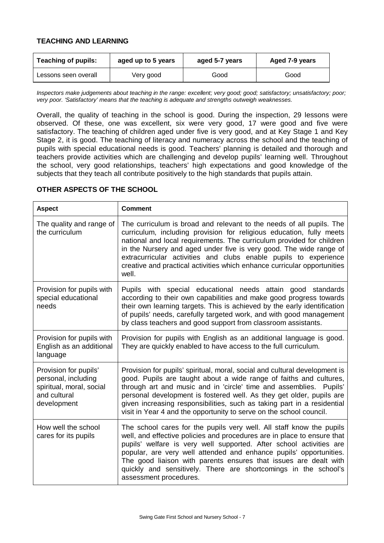### **TEACHING AND LEARNING**

| <b>Teaching of pupils:</b><br>aged up to 5 years |           | aged 5-7 years | Aged 7-9 years |  |
|--------------------------------------------------|-----------|----------------|----------------|--|
| Lessons seen overall                             | Very good | Good           | Good           |  |

*Inspectors make judgements about teaching in the range: excellent; very good; good; satisfactory; unsatisfactory; poor; very poor. 'Satisfactory' means that the teaching is adequate and strengths outweigh weaknesses.*

Overall, the quality of teaching in the school is good. During the inspection, 29 lessons were observed. Of these, one was excellent, six were very good, 17 were good and five were satisfactory. The teaching of children aged under five is very good, and at Key Stage 1 and Key Stage 2, it is good. The teaching of literacy and numeracy across the school and the teaching of pupils with special educational needs is good. Teachers' planning is detailed and thorough and teachers provide activities which are challenging and develop pupils' learning well. Throughout the school, very good relationships, teachers' high expectations and good knowledge of the subjects that they teach all contribute positively to the high standards that pupils attain.

| <b>Aspect</b>                                                                                           | <b>Comment</b>                                                                                                                                                                                                                                                                                                                                                                                                                                                |
|---------------------------------------------------------------------------------------------------------|---------------------------------------------------------------------------------------------------------------------------------------------------------------------------------------------------------------------------------------------------------------------------------------------------------------------------------------------------------------------------------------------------------------------------------------------------------------|
| The quality and range of<br>the curriculum                                                              | The curriculum is broad and relevant to the needs of all pupils. The<br>curriculum, including provision for religious education, fully meets<br>national and local requirements. The curriculum provided for children<br>in the Nursery and aged under five is very good. The wide range of<br>extracurricular activities and clubs enable pupils to experience<br>creative and practical activities which enhance curricular opportunities<br>well.          |
| Provision for pupils with<br>special educational<br>needs                                               | Pupils with special educational needs attain good standards<br>according to their own capabilities and make good progress towards<br>their own learning targets. This is achieved by the early identification<br>of pupils' needs, carefully targeted work, and with good management<br>by class teachers and good support from classroom assistants.                                                                                                         |
| Provision for pupils with<br>English as an additional<br>language                                       | Provision for pupils with English as an additional language is good.<br>They are quickly enabled to have access to the full curriculum.                                                                                                                                                                                                                                                                                                                       |
| Provision for pupils'<br>personal, including<br>spiritual, moral, social<br>and cultural<br>development | Provision for pupils' spiritual, moral, social and cultural development is<br>good. Pupils are taught about a wide range of faiths and cultures,<br>through art and music and in 'circle' time and assemblies. Pupils'<br>personal development is fostered well. As they get older, pupils are<br>given increasing responsibilities, such as taking part in a residential<br>visit in Year 4 and the opportunity to serve on the school council.              |
| How well the school<br>cares for its pupils                                                             | The school cares for the pupils very well. All staff know the pupils<br>well, and effective policies and procedures are in place to ensure that<br>pupils' welfare is very well supported. After school activities are<br>popular, are very well attended and enhance pupils' opportunities.<br>The good liaison with parents ensures that issues are dealt with<br>quickly and sensitively. There are shortcomings in the school's<br>assessment procedures. |

# **OTHER ASPECTS OF THE SCHOOL**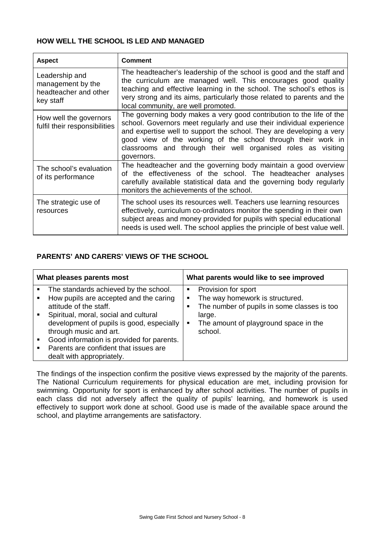# **HOW WELL THE SCHOOL IS LED AND MANAGED**

| <b>Aspect</b>                                                             | <b>Comment</b>                                                                                                                                                                                                                                                                                                                                                      |
|---------------------------------------------------------------------------|---------------------------------------------------------------------------------------------------------------------------------------------------------------------------------------------------------------------------------------------------------------------------------------------------------------------------------------------------------------------|
| Leadership and<br>management by the<br>headteacher and other<br>key staff | The headteacher's leadership of the school is good and the staff and<br>the curriculum are managed well. This encourages good quality<br>teaching and effective learning in the school. The school's ethos is<br>very strong and its aims, particularly those related to parents and the<br>local community, are well promoted.                                     |
| How well the governors<br>fulfil their responsibilities                   | The governing body makes a very good contribution to the life of the<br>school. Governors meet regularly and use their individual experience<br>and expertise well to support the school. They are developing a very<br>good view of the working of the school through their work in<br>classrooms and through their well organised roles as visiting<br>governors. |
| The school's evaluation<br>of its performance                             | The headteacher and the governing body maintain a good overview<br>of the effectiveness of the school. The headteacher analyses<br>carefully available statistical data and the governing body regularly<br>monitors the achievements of the school.                                                                                                                |
| The strategic use of<br>resources                                         | The school uses its resources well. Teachers use learning resources<br>effectively, curriculum co-ordinators monitor the spending in their own<br>subject areas and money provided for pupils with special educational<br>needs is used well. The school applies the principle of best value well.                                                                  |

# **PARENTS' AND CARERS' VIEWS OF THE SCHOOL**

| What pleases parents most |                                                                                                                                                                                                                                                                                                                                              | What parents would like to see improved |                                                                                                                                                                     |  |
|---------------------------|----------------------------------------------------------------------------------------------------------------------------------------------------------------------------------------------------------------------------------------------------------------------------------------------------------------------------------------------|-----------------------------------------|---------------------------------------------------------------------------------------------------------------------------------------------------------------------|--|
| ٠                         | The standards achieved by the school.<br>How pupils are accepted and the caring<br>attitude of the staff.<br>Spiritual, moral, social and cultural<br>development of pupils is good, especially<br>through music and art.<br>Good information is provided for parents.<br>Parents are confident that issues are<br>dealt with appropriately. | п<br>п<br>■<br>п                        | Provision for sport<br>The way homework is structured.<br>The number of pupils in some classes is too<br>large.<br>The amount of playground space in the<br>school. |  |

The findings of the inspection confirm the positive views expressed by the majority of the parents. The National Curriculum requirements for physical education are met, including provision for swimming. Opportunity for sport is enhanced by after school activities. The number of pupils in each class did not adversely affect the quality of pupils' learning, and homework is used effectively to support work done at school. Good use is made of the available space around the school, and playtime arrangements are satisfactory.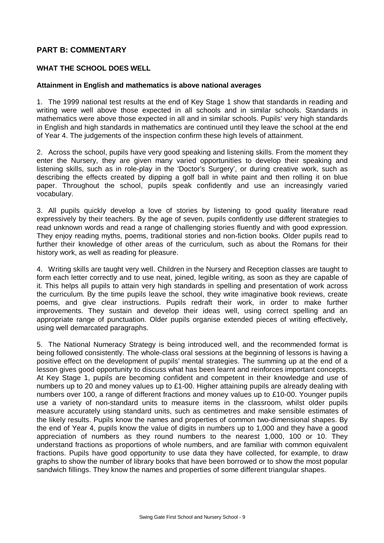# **PART B: COMMENTARY**

#### **WHAT THE SCHOOL DOES WELL**

#### **Attainment in English and mathematics is above national averages**

1. The 1999 national test results at the end of Key Stage 1 show that standards in reading and writing were well above those expected in all schools and in similar schools. Standards in mathematics were above those expected in all and in similar schools. Pupils' very high standards in English and high standards in mathematics are continued until they leave the school at the end of Year 4. The judgements of the inspection confirm these high levels of attainment.

2. Across the school, pupils have very good speaking and listening skills. From the moment they enter the Nursery, they are given many varied opportunities to develop their speaking and listening skills, such as in role-play in the 'Doctor's Surgery', or during creative work, such as describing the effects created by dipping a golf ball in white paint and then rolling it on blue paper. Throughout the school, pupils speak confidently and use an increasingly varied vocabulary.

3. All pupils quickly develop a love of stories by listening to good quality literature read expressively by their teachers. By the age of seven, pupils confidently use different strategies to read unknown words and read a range of challenging stories fluently and with good expression. They enjoy reading myths, poems, traditional stories and non-fiction books. Older pupils read to further their knowledge of other areas of the curriculum, such as about the Romans for their history work, as well as reading for pleasure.

4. Writing skills are taught very well. Children in the Nursery and Reception classes are taught to form each letter correctly and to use neat, joined, legible writing, as soon as they are capable of it. This helps all pupils to attain very high standards in spelling and presentation of work across the curriculum. By the time pupils leave the school, they write imaginative book reviews, create poems, and give clear instructions. Pupils redraft their work, in order to make further improvements. They sustain and develop their ideas well, using correct spelling and an appropriate range of punctuation. Older pupils organise extended pieces of writing effectively, using well demarcated paragraphs.

5. The National Numeracy Strategy is being introduced well, and the recommended format is being followed consistently. The whole-class oral sessions at the beginning of lessons is having a positive effect on the development of pupils' mental strategies. The summing up at the end of a lesson gives good opportunity to discuss what has been learnt and reinforces important concepts. At Key Stage 1, pupils are becoming confident and competent in their knowledge and use of numbers up to 20 and money values up to £1-00. Higher attaining pupils are already dealing with numbers over 100, a range of different fractions and money values up to £10-00. Younger pupils use a variety of non-standard units to measure items in the classroom, whilst older pupils measure accurately using standard units, such as centimetres and make sensible estimates of the likely results. Pupils know the names and properties of common two-dimensional shapes. By the end of Year 4, pupils know the value of digits in numbers up to 1,000 and they have a good appreciation of numbers as they round numbers to the nearest 1,000, 100 or 10. They understand fractions as proportions of whole numbers, and are familiar with common equivalent fractions. Pupils have good opportunity to use data they have collected, for example, to draw graphs to show the number of library books that have been borrowed or to show the most popular sandwich fillings. They know the names and properties of some different triangular shapes.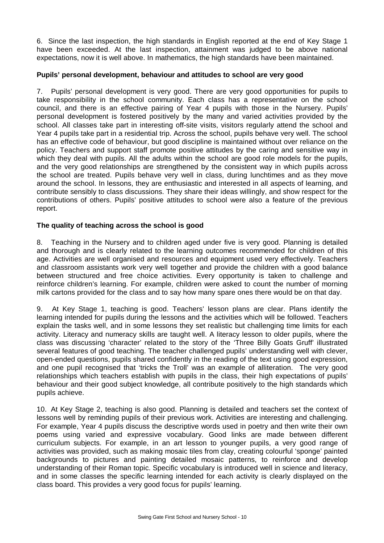6. Since the last inspection, the high standards in English reported at the end of Key Stage 1 have been exceeded. At the last inspection, attainment was judged to be above national expectations, now it is well above. In mathematics, the high standards have been maintained.

### **Pupils' personal development, behaviour and attitudes to school are very good**

7. Pupils' personal development is very good. There are very good opportunities for pupils to take responsibility in the school community. Each class has a representative on the school council, and there is an effective pairing of Year 4 pupils with those in the Nursery. Pupils' personal development is fostered positively by the many and varied activities provided by the school. All classes take part in interesting off-site visits, visitors regularly attend the school and Year 4 pupils take part in a residential trip. Across the school, pupils behave very well. The school has an effective code of behaviour, but good discipline is maintained without over reliance on the policy. Teachers and support staff promote positive attitudes by the caring and sensitive way in which they deal with pupils. All the adults within the school are good role models for the pupils, and the very good relationships are strengthened by the consistent way in which pupils across the school are treated. Pupils behave very well in class, during lunchtimes and as they move around the school. In lessons, they are enthusiastic and interested in all aspects of learning, and contribute sensibly to class discussions. They share their ideas willingly, and show respect for the contributions of others. Pupils' positive attitudes to school were also a feature of the previous report.

# **The quality of teaching across the school is good**

8. Teaching in the Nursery and to children aged under five is very good. Planning is detailed and thorough and is clearly related to the learning outcomes recommended for children of this age. Activities are well organised and resources and equipment used very effectively. Teachers and classroom assistants work very well together and provide the children with a good balance between structured and free choice activities. Every opportunity is taken to challenge and reinforce children's learning. For example, children were asked to count the number of morning milk cartons provided for the class and to say how many spare ones there would be on that day.

9. At Key Stage 1, teaching is good. Teachers' lesson plans are clear. Plans identify the learning intended for pupils during the lessons and the activities which will be followed. Teachers explain the tasks well, and in some lessons they set realistic but challenging time limits for each activity. Literacy and numeracy skills are taught well. A literacy lesson to older pupils, where the class was discussing 'character' related to the story of the 'Three Billy Goats Gruff' illustrated several features of good teaching. The teacher challenged pupils' understanding well with clever, open-ended questions, pupils shared confidently in the reading of the text using good expression, and one pupil recognised that 'tricks the Troll' was an example of alliteration. The very good relationships which teachers establish with pupils in the class, their high expectations of pupils' behaviour and their good subject knowledge, all contribute positively to the high standards which pupils achieve.

10. At Key Stage 2, teaching is also good. Planning is detailed and teachers set the context of lessons well by reminding pupils of their previous work. Activities are interesting and challenging. For example, Year 4 pupils discuss the descriptive words used in poetry and then write their own poems using varied and expressive vocabulary. Good links are made between different curriculum subjects. For example, in an art lesson to younger pupils, a very good range of activities was provided, such as making mosaic tiles from clay, creating colourful 'sponge' painted backgrounds to pictures and painting detailed mosaic patterns, to reinforce and develop understanding of their Roman topic. Specific vocabulary is introduced well in science and literacy, and in some classes the specific learning intended for each activity is clearly displayed on the class board. This provides a very good focus for pupils' learning.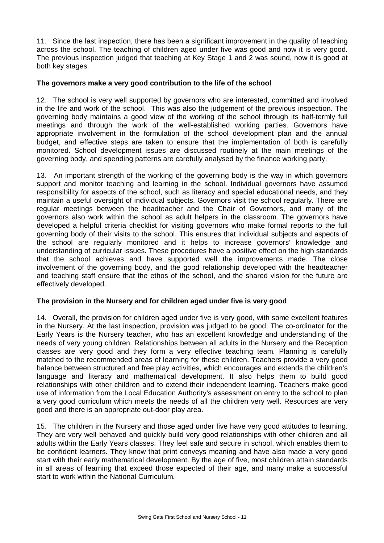11. Since the last inspection, there has been a significant improvement in the quality of teaching across the school. The teaching of children aged under five was good and now it is very good. The previous inspection judged that teaching at Key Stage 1 and 2 was sound, now it is good at both key stages.

#### **The governors make a very good contribution to the life of the school**

12. The school is very well supported by governors who are interested, committed and involved in the life and work of the school. This was also the judgement of the previous inspection. The governing body maintains a good view of the working of the school through its half-termly full meetings and through the work of the well-established working parties. Governors have appropriate involvement in the formulation of the school development plan and the annual budget, and effective steps are taken to ensure that the implementation of both is carefully monitored. School development issues are discussed routinely at the main meetings of the governing body, and spending patterns are carefully analysed by the finance working party.

13. An important strength of the working of the governing body is the way in which governors support and monitor teaching and learning in the school. Individual governors have assumed responsibility for aspects of the school, such as literacy and special educational needs, and they maintain a useful oversight of individual subjects. Governors visit the school regularly. There are regular meetings between the headteacher and the Chair of Governors, and many of the governors also work within the school as adult helpers in the classroom. The governors have developed a helpful criteria checklist for visiting governors who make formal reports to the full governing body of their visits to the school. This ensures that individual subjects and aspects of the school are regularly monitored and it helps to increase governors' knowledge and understanding of curricular issues. These procedures have a positive effect on the high standards that the school achieves and have supported well the improvements made. The close involvement of the governing body, and the good relationship developed with the headteacher and teaching staff ensure that the ethos of the school, and the shared vision for the future are effectively developed.

#### **The provision in the Nursery and for children aged under five is very good**

14. Overall, the provision for children aged under five is very good, with some excellent features in the Nursery. At the last inspection, provision was judged to be good. The co-ordinator for the Early Years is the Nursery teacher, who has an excellent knowledge and understanding of the needs of very young children. Relationships between all adults in the Nursery and the Reception classes are very good and they form a very effective teaching team. Planning is carefully matched to the recommended areas of learning for these children. Teachers provide a very good balance between structured and free play activities, which encourages and extends the children's language and literacy and mathematical development. It also helps them to build good relationships with other children and to extend their independent learning. Teachers make good use of information from the Local Education Authority's assessment on entry to the school to plan a very good curriculum which meets the needs of all the children very well. Resources are very good and there is an appropriate out-door play area.

15. The children in the Nursery and those aged under five have very good attitudes to learning. They are very well behaved and quickly build very good relationships with other children and all adults within the Early Years classes. They feel safe and secure in school, which enables them to be confident learners. They know that print conveys meaning and have also made a very good start with their early mathematical development. By the age of five, most children attain standards in all areas of learning that exceed those expected of their age, and many make a successful start to work within the National Curriculum.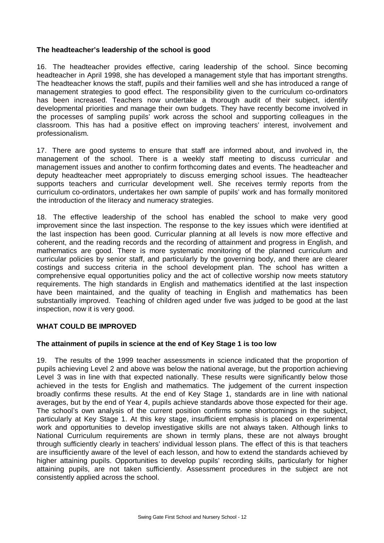#### **The headteacher's leadership of the school is good**

16. The headteacher provides effective, caring leadership of the school. Since becoming headteacher in April 1998, she has developed a management style that has important strengths. The headteacher knows the staff, pupils and their families well and she has introduced a range of management strategies to good effect. The responsibility given to the curriculum co-ordinators has been increased. Teachers now undertake a thorough audit of their subject, identify developmental priorities and manage their own budgets. They have recently become involved in the processes of sampling pupils' work across the school and supporting colleagues in the classroom. This has had a positive effect on improving teachers' interest, involvement and professionalism.

17. There are good systems to ensure that staff are informed about, and involved in, the management of the school. There is a weekly staff meeting to discuss curricular and management issues and another to confirm forthcoming dates and events. The headteacher and deputy headteacher meet appropriately to discuss emerging school issues. The headteacher supports teachers and curricular development well. She receives termly reports from the curriculum co-ordinators, undertakes her own sample of pupils' work and has formally monitored the introduction of the literacy and numeracy strategies.

18. The effective leadership of the school has enabled the school to make very good improvement since the last inspection. The response to the key issues which were identified at the last inspection has been good. Curricular planning at all levels is now more effective and coherent, and the reading records and the recording of attainment and progress in English, and mathematics are good. There is more systematic monitoring of the planned curriculum and curricular policies by senior staff, and particularly by the governing body, and there are clearer costings and success criteria in the school development plan. The school has written a comprehensive equal opportunities policy and the act of collective worship now meets statutory requirements. The high standards in English and mathematics identified at the last inspection have been maintained, and the quality of teaching in English and mathematics has been substantially improved. Teaching of children aged under five was judged to be good at the last inspection, now it is very good.

#### **WHAT COULD BE IMPROVED**

#### **The attainment of pupils in science at the end of Key Stage 1 is too low**

19. The results of the 1999 teacher assessments in science indicated that the proportion of pupils achieving Level 2 and above was below the national average, but the proportion achieving Level 3 was in line with that expected nationally. These results were significantly below those achieved in the tests for English and mathematics. The judgement of the current inspection broadly confirms these results. At the end of Key Stage 1, standards are in line with national averages, but by the end of Year 4, pupils achieve standards above those expected for their age. The school's own analysis of the current position confirms some shortcomings in the subject, particularly at Key Stage 1. At this key stage, insufficient emphasis is placed on experimental work and opportunities to develop investigative skills are not always taken. Although links to National Curriculum requirements are shown in termly plans, these are not always brought through sufficiently clearly in teachers' individual lesson plans. The effect of this is that teachers are insufficiently aware of the level of each lesson, and how to extend the standards achieved by higher attaining pupils. Opportunities to develop pupils' recording skills, particularly for higher attaining pupils, are not taken sufficiently. Assessment procedures in the subject are not consistently applied across the school.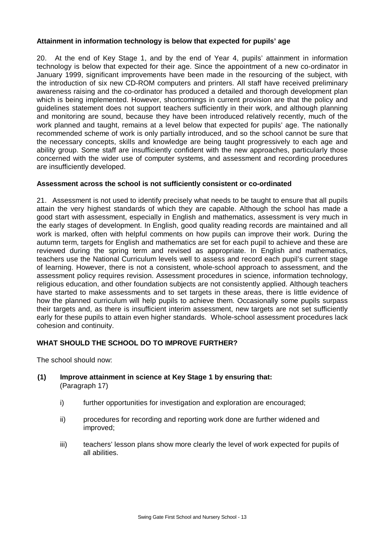# **Attainment in information technology is below that expected for pupils' age**

20. At the end of Key Stage 1, and by the end of Year 4, pupils' attainment in information technology is below that expected for their age. Since the appointment of a new co-ordinator in January 1999, significant improvements have been made in the resourcing of the subject, with the introduction of six new CD-ROM computers and printers. All staff have received preliminary awareness raising and the co-ordinator has produced a detailed and thorough development plan which is being implemented. However, shortcomings in current provision are that the policy and guidelines statement does not support teachers sufficiently in their work, and although planning and monitoring are sound, because they have been introduced relatively recently, much of the work planned and taught, remains at a level below that expected for pupils' age. The nationally recommended scheme of work is only partially introduced, and so the school cannot be sure that the necessary concepts, skills and knowledge are being taught progressively to each age and ability group. Some staff are insufficiently confident with the new approaches, particularly those concerned with the wider use of computer systems, and assessment and recording procedures are insufficiently developed.

# **Assessment across the school is not sufficiently consistent or co-ordinated**

21. Assessment is not used to identify precisely what needs to be taught to ensure that all pupils attain the very highest standards of which they are capable. Although the school has made a good start with assessment, especially in English and mathematics, assessment is very much in the early stages of development. In English, good quality reading records are maintained and all work is marked, often with helpful comments on how pupils can improve their work. During the autumn term, targets for English and mathematics are set for each pupil to achieve and these are reviewed during the spring term and revised as appropriate. In English and mathematics, teachers use the National Curriculum levels well to assess and record each pupil's current stage of learning. However, there is not a consistent, whole-school approach to assessment, and the assessment policy requires revision. Assessment procedures in science, information technology, religious education, and other foundation subjects are not consistently applied. Although teachers have started to make assessments and to set targets in these areas, there is little evidence of how the planned curriculum will help pupils to achieve them. Occasionally some pupils surpass their targets and, as there is insufficient interim assessment, new targets are not set sufficiently early for these pupils to attain even higher standards. Whole-school assessment procedures lack cohesion and continuity.

# **WHAT SHOULD THE SCHOOL DO TO IMPROVE FURTHER?**

The school should now:

- **(1) Improve attainment in science at Key Stage 1 by ensuring that:** (Paragraph 17)
	- i) further opportunities for investigation and exploration are encouraged;
	- ii) procedures for recording and reporting work done are further widened and improved;
	- iii) teachers' lesson plans show more clearly the level of work expected for pupils of all abilities.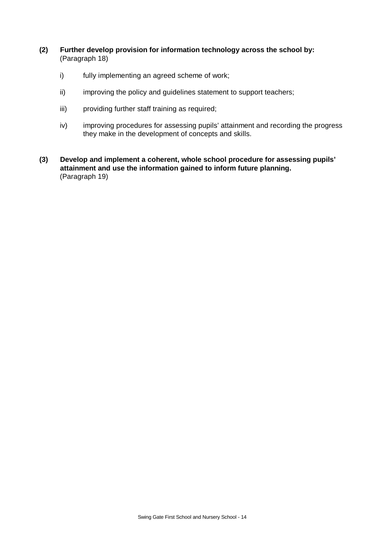- **(2) Further develop provision for information technology across the school by:** (Paragraph 18)
	- i) fully implementing an agreed scheme of work;
	- ii) improving the policy and guidelines statement to support teachers;
	- iii) providing further staff training as required;
	- iv) improving procedures for assessing pupils' attainment and recording the progress they make in the development of concepts and skills.
- **(3) Develop and implement a coherent, whole school procedure for assessing pupils' attainment and use the information gained to inform future planning.** (Paragraph 19)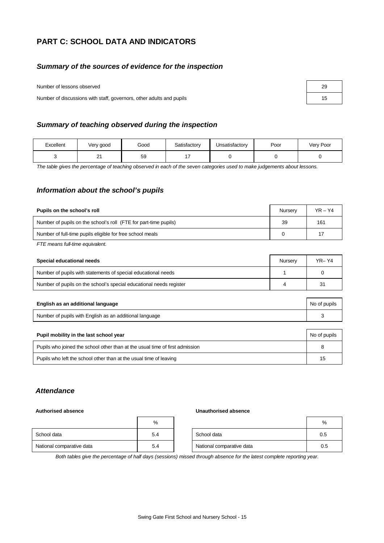# **PART C: SCHOOL DATA AND INDICATORS**

#### *Summary of the sources of evidence for the inspection*

Number of lessons observed

Number of discussions with staff, governors, other adults and pupils 15

| 29 |  |
|----|--|
| 15 |  |

#### *Summary of teaching observed during the inspection*

| Excellent | Very good      | Good | Satisfactory | Jnsatisfactory | Poor | Very Poor |
|-----------|----------------|------|--------------|----------------|------|-----------|
|           | n,<br><u>.</u> | 59   |              |                |      |           |

*The table gives the percentage of teaching observed in each of the seven categories used to make judgements about lessons.*

#### *Information about the school's pupils*

| Pupils on the school's roll                                      | Nurserv | $YR - Y4$ |
|------------------------------------------------------------------|---------|-----------|
| Number of pupils on the school's roll (FTE for part-time pupils) | 39      | 161       |
| Number of full-time pupils eligible for free school meals        |         | 17        |

*FTE means full-time equivalent.*

| Special educational needs                                           | Nurserv | $YR - Y4$ |
|---------------------------------------------------------------------|---------|-----------|
| Number of pupils with statements of special educational needs       |         |           |
| Number of pupils on the school's special educational needs register |         | 31        |

| English as an additional language                       | No of pupils |
|---------------------------------------------------------|--------------|
| Number of pupils with English as an additional language |              |

| Pupil mobility in the last school year                                       | No of pupils |
|------------------------------------------------------------------------------|--------------|
| Pupils who joined the school other than at the usual time of first admission |              |
| Pupils who left the school other than at the usual time of leaving           | 15           |

#### *Attendance*

#### **Authorised absence Unauthorised absence**

|                           | %   |                           | %   |
|---------------------------|-----|---------------------------|-----|
| School data               | 5.4 | School data               | 0.5 |
| National comparative data | 5.4 | National comparative data | 0.5 |

*Both tables give the percentage of half days (sessions) missed through absence for the latest complete reporting year.*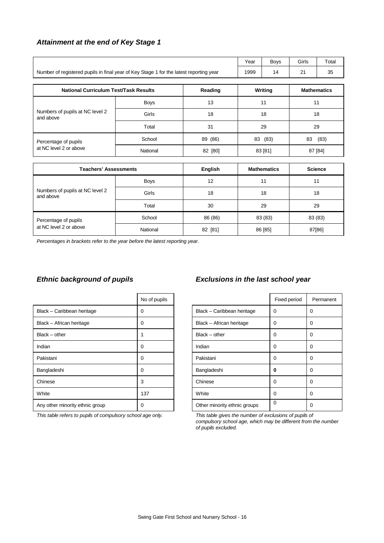#### *Attainment at the end of Key Stage 1*

|                                              |                                                                                        |                | Year | <b>Boys</b>        | Girls  | Total              |
|----------------------------------------------|----------------------------------------------------------------------------------------|----------------|------|--------------------|--------|--------------------|
|                                              | Number of registered pupils in final year of Key Stage 1 for the latest reporting year |                | 1999 | 14                 | 21     | 35                 |
| <b>National Curriculum Test/Task Results</b> |                                                                                        | Reading        |      | Writing            |        | <b>Mathematics</b> |
|                                              | <b>Boys</b>                                                                            | 13             |      | 11                 |        | 11                 |
| Numbers of pupils at NC level 2<br>and above | Girls                                                                                  | 18             |      | 18                 |        | 18                 |
|                                              | Total                                                                                  | 31             |      | 29                 | 29     |                    |
| Percentage of pupils                         | School                                                                                 | 89 (86)        |      | 83 (83)            | 83     | (83)               |
| at NC level 2 or above                       | National                                                                               | 82 [80]        |      | 83 [81]            |        | 87 [84]            |
| <b>Teachers' Assessments</b>                 |                                                                                        | <b>English</b> |      | <b>Mathematics</b> |        | <b>Science</b>     |
|                                              |                                                                                        |                |      |                    |        |                    |
|                                              | <b>Boys</b>                                                                            | 12             |      | 11                 |        | 11                 |
| Numbers of pupils at NC level 2<br>and above | Girls                                                                                  | 18             |      | 18                 | 18     |                    |
|                                              | Total                                                                                  | 30             |      | 29<br>29           |        |                    |
| Percentage of pupils                         | School                                                                                 | 86 (86)        |      | 83 (83)<br>83 (83) |        |                    |
| at NC level 2 or above                       | National                                                                               | 82 [81]        |      | 86 [85]            | 87[86] |                    |

*Percentages in brackets refer to the year before the latest reporting year.*

|                                 | No of pupils |                              | Fixed period |             |
|---------------------------------|--------------|------------------------------|--------------|-------------|
| Black - Caribbean heritage      | 0            | Black - Caribbean heritage   | 0            | 0           |
| Black - African heritage        | 0            | Black - African heritage     | 0            | 0           |
| $Black - other$                 |              | $Black - other$              | $\Omega$     | 0           |
| Indian                          | 0            | Indian                       | $\Omega$     | 0           |
| Pakistani                       | 0            | Pakistani                    | 0            | $\mathbf 0$ |
| Bangladeshi                     | 0            | Bangladeshi                  | 0            | $\Omega$    |
| Chinese                         | 3            | Chinese                      | $\Omega$     | $\Omega$    |
| White                           | 137          | White                        | $\Omega$     | $\mathbf 0$ |
| Any other minority ethnic group | 0            | Other minority ethnic groups | 0            | $\Omega$    |
|                                 |              |                              |              |             |

*This table refers to pupils of compulsory school age only. This table gives the number of exclusions of pupils of*

### *Ethnic background of pupils Exclusions in the last school year*

| No of pupils |                              | Fixed period | Permanent |
|--------------|------------------------------|--------------|-----------|
| 0            | Black - Caribbean heritage   | $\Omega$     | $\Omega$  |
| 0            | Black - African heritage     | $\Omega$     | $\Omega$  |
| 1            | $Black - other$              | $\Omega$     | $\Omega$  |
| 0            | Indian                       | $\Omega$     | $\Omega$  |
| 0            | Pakistani                    | $\Omega$     | $\Omega$  |
| 0            | Bangladeshi                  | 0            | $\Omega$  |
| 3            | Chinese                      | $\Omega$     | $\Omega$  |
| 137          | White                        | $\Omega$     | 0         |
| 0            | Other minority ethnic groups | $\mathbf 0$  | 0         |

*compulsory school age, which may be different from the number of pupils excluded.*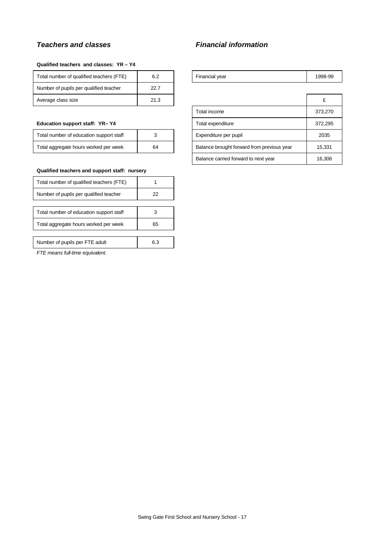#### *Teachers and classes Financial information*

#### **Qualified teachers and classes: YR – Y4**

| Total number of qualified teachers (FTE) | 6.2  | Financial year | 1998-99 |
|------------------------------------------|------|----------------|---------|
| Number of pupils per qualified teacher   | 22.7 |                |         |
| Average class size                       | 21.3 |                |         |

#### **Education support staff: YR-Y4**

| Total number of education support staff |    |
|-----------------------------------------|----|
| Total aggregate hours worked per week   | 64 |

#### **Qualified teachers and support staff: nursery**

| Total number of qualified teachers (FTE) |    |
|------------------------------------------|----|
| Number of pupils per qualified teacher   | 22 |
|                                          |    |
| Total number of education support staff  |    |
| Total aggregate hours worked per week    | 65 |
|                                          |    |
|                                          |    |

# Number of pupils per FTE adult 6.3

*FTE means full-time equivalent.*

| Financial year | 1998-99 |
|----------------|---------|

| Average class size                      | 21.3 |                                            |                                      | £       |
|-----------------------------------------|------|--------------------------------------------|--------------------------------------|---------|
|                                         |      |                                            | Total income                         | 373,270 |
| Education support staff: YR-Y4          |      |                                            | Total expenditure                    | 372,295 |
| Total number of education support staff |      |                                            | Expenditure per pupil                | 2035    |
| Total aggregate hours worked per week   | 64   | Balance brought forward from previous year |                                      | 15,331  |
|                                         |      |                                            | Balance carried forward to next year | 16,306  |